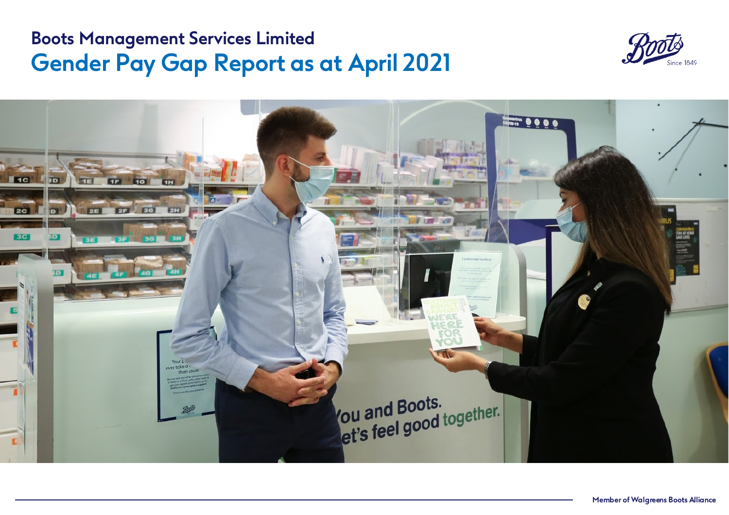### **Boots Management Services Limited Gender Pay Gap Report as at April 2021**



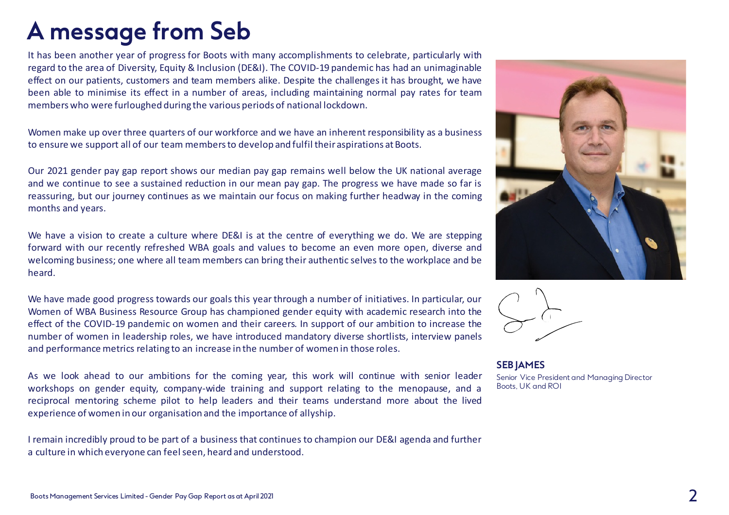### **A message from Seb**

It has been another year of progress for Boots with many accomplishments to celebrate, particularly with regard to the area of Diversity, Equity & Inclusion (DE&I). The COVID-19 pandemic has had an unimaginable effect on our patients, customers and team members alike. Despite the challenges it has brought, we have been able to minimise its effect in a number of areas, including maintaining normal pay rates for team memberswho were furloughed during the various periods of national lockdown.

Women make up over three quarters of our workforce and we have an inherent responsibility as a business to ensure we support all of our team members to develop and fulfil their aspirations at Boots.

Our 2021 gender pay gap report shows our median pay gap remains well below the UK national average and we continue to see a sustained reduction in our mean pay gap. The progress we have made so far is reassuring, but our journey continues as we maintain our focus on making further headway in the coming months and years.

We have a vision to create a culture where DE&I is at the centre of everything we do. We are stepping forward with our recently refreshed WBA goals and values to become an even more open, diverse and welcoming business; one where all team members can bring their authentic selves to the workplace and be heard.

We have made good progress towards our goals this year through a number of initiatives. In particular, our Women of WBA Business Resource Group has championed gender equity with academic research into the effect of the COVID-19 pandemic on women and their careers. In support of our ambition to increase the number of women in leadership roles, we have introduced mandatory diverse shortlists, interview panels and performance metrics relating to an increase in the number of women in those roles.

As we look ahead to our ambitions for the coming year, this work will continue with senior leader workshops on gender equity, company-wide training and support relating to the menopause, and a reciprocal mentoring scheme pilot to help leaders and their teams understand more about the lived experience of women in our organisation and the importance of allyship.

I remain incredibly proud to be part of a business that continues to champion our DE&I agenda and further a culture in which everyone can feelseen, heard and understood.





**SEB JAMES** Senior Vice President and Managing Director Boots, UK and ROI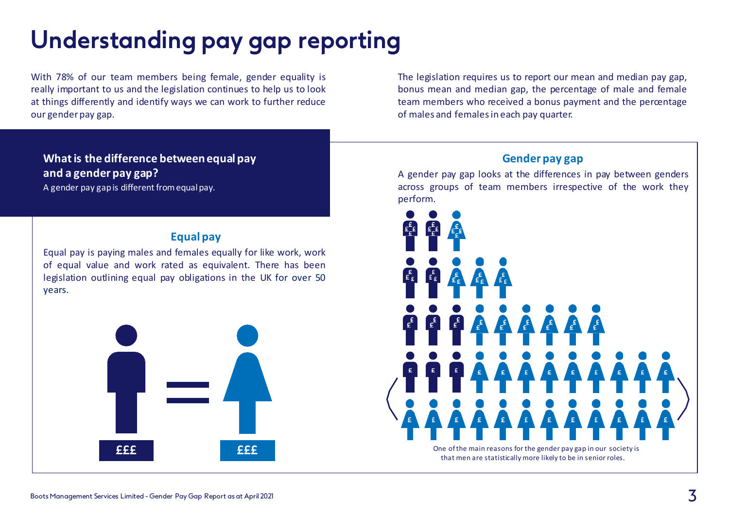# **Understanding pay gap reporting**

With 78% of our team members being female, gender equality is really important to us and the legislation continues to help us to look at things differently and identify ways we can work to further reduce our genderpay gap.

### **What is the difference between equal pay and a gender pay gap?**

A gender pay gap is different fromequal pay.

#### **Equal pay**

Equal pay is paying males and females equally for like work, work of equal value and work rated as equivalent. There has been legislation outlining equal pay obligations in the UK for over 50 years.



The legislation requires us to report our mean and median pay gap, bonus mean and median gap, the percentage of male and female team members who received a bonus payment and the percentage of males and femalesin each pay quarter.

#### **Gender pay gap**

A gender pay gap looks at the differences in pay between genders across groups of team members irrespective of the work they perform.

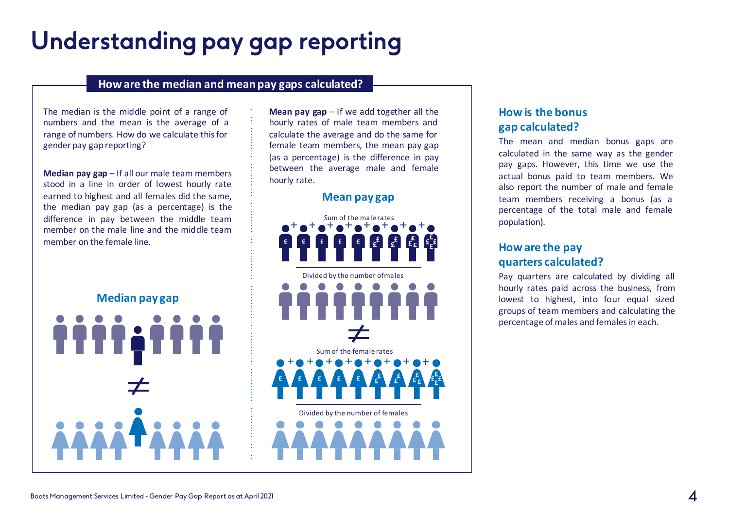## **Understanding pay gap reporting**

#### **How are the median and mean pay gaps calculated?**

The median is the middle point of a range of numbers and the mean is the average of a range of numbers. How do we calculate this for gender pay gapreporting?

**Median pay gap** – If all our male team members stood in a line in order of lowest hourly rate earned to highest and all females did the same, the median pay gap (as a percentage) is the difference in pay between the middle team member on the male line and the middle team member on the female line.

**Median pay gap**

**Mean pay gap** – If we add together all the hourly rates of male team members and calculate the average and do the same for female team members, the mean pay gap (as a percentage) is the difference in pay between the average male and female hourly rate.

#### **Mean pay gap**



#### **How is the bonus gap calculated?**

The mean and median bonus gaps are calculated in the same way as the gender pay gaps. However, this time we use the actual bonus paid to team members. We also report the number of male and female team members receiving a bonus (as a percentage of the total male and female population).

#### **How are the pay quarters calculated?**

Pay quarters are calculated by dividing all hourly rates paid across the business, from lowest to highest, into four equal sized groups of team members and calculating the percentage of males and femalesin each.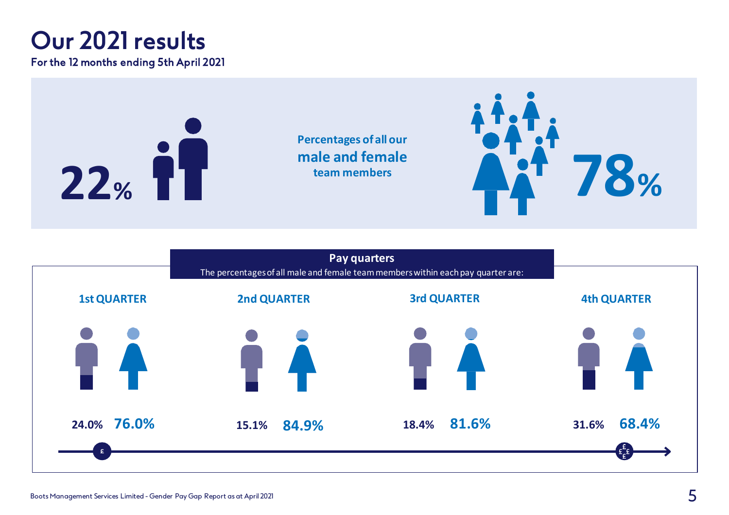### **Our 2021 results**

For the 12 months ending 5th April 2021



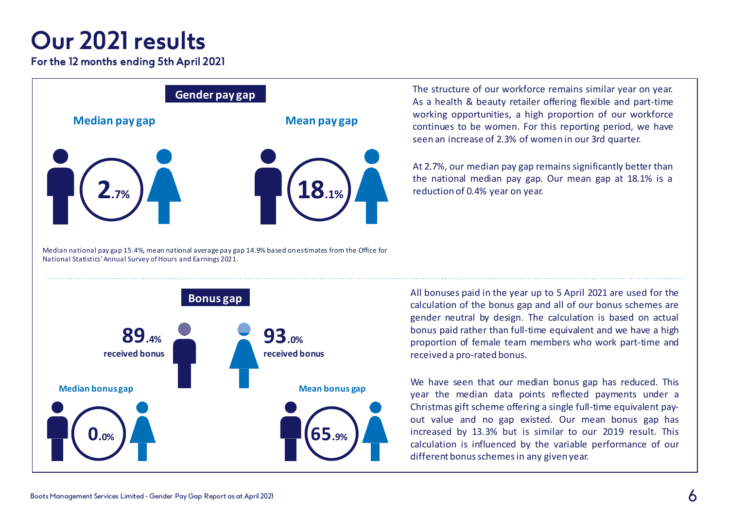### **Our 2021 results**

For the 12 months ending 5th April 2021



Median national pay gap 15.4%, mean national average pay gap 14.9% based onestimates from the Office for National Statistics' Annual Survey of Hours and Earnings 2021.

The structure of our workforce remains similar year on year. As a health & beauty retailer offering flexible and part-time working opportunities, a high proportion of our workforce continues to be women. For this reporting period, we have seen an increase of 2.3% of women in our 3rd quarter.

At 2.7%, our median pay gap remains significantly better than the national median pay gap. Our mean gap at 18.1% is a reduction of 0.4% year on year.



All bonuses paid in the year up to 5 April 2021 are used for the calculation of the bonus gap and all of our bonus schemes are gender neutral by design. The calculation is based on actual bonus paid rather than full-time equivalent and we have a high proportion of female team members who work part-time and received a pro-rated bonus.

We have seen that our median bonus gap has reduced. This year the median data points reflected payments under a Christmas gift scheme offering a single full-time equivalent payout value and no gap existed. Our mean bonus gap has increased by 13.3% but is similar to our 2019 result. This calculation is influenced by the variable performance of our different bonusschemesin any given year.